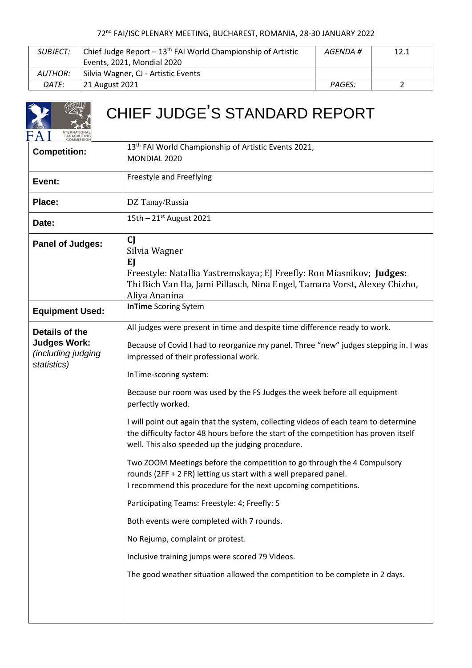| SUBJECT: | Chief Judge Report $-13th$ FAI World Championship of Artistic<br>12.1<br>AGENDA # |        |  |
|----------|-----------------------------------------------------------------------------------|--------|--|
|          | Events, 2021, Mondial 2020                                                        |        |  |
| AUTHOR:  | Silvia Wagner, CJ - Artistic Events                                               |        |  |
| DATE:    | 21 August 2021                                                                    | PAGES: |  |

Lэ

| CHIEF JUDGE'S STANDARD REPORT                                                     |                                                                                                                                                                                                                                                                                                                                                                                                                                                                                                                                                                                                                                                                                                                                                                                                                                                                                                                                                                                                                                                                  |  |  |  |
|-----------------------------------------------------------------------------------|------------------------------------------------------------------------------------------------------------------------------------------------------------------------------------------------------------------------------------------------------------------------------------------------------------------------------------------------------------------------------------------------------------------------------------------------------------------------------------------------------------------------------------------------------------------------------------------------------------------------------------------------------------------------------------------------------------------------------------------------------------------------------------------------------------------------------------------------------------------------------------------------------------------------------------------------------------------------------------------------------------------------------------------------------------------|--|--|--|
| <b>Competition:</b>                                                               | 13 <sup>th</sup> FAI World Championship of Artistic Events 2021,<br>MONDIAL 2020                                                                                                                                                                                                                                                                                                                                                                                                                                                                                                                                                                                                                                                                                                                                                                                                                                                                                                                                                                                 |  |  |  |
| Event:                                                                            | Freestyle and Freeflying                                                                                                                                                                                                                                                                                                                                                                                                                                                                                                                                                                                                                                                                                                                                                                                                                                                                                                                                                                                                                                         |  |  |  |
| Place:                                                                            | DZ Tanay/Russia                                                                                                                                                                                                                                                                                                                                                                                                                                                                                                                                                                                                                                                                                                                                                                                                                                                                                                                                                                                                                                                  |  |  |  |
| Date:                                                                             | 15th $-21$ <sup>st</sup> August 2021                                                                                                                                                                                                                                                                                                                                                                                                                                                                                                                                                                                                                                                                                                                                                                                                                                                                                                                                                                                                                             |  |  |  |
| <b>Panel of Judges:</b>                                                           | <b>CJ</b><br>Silvia Wagner<br>EJ<br>Freestyle: Natallia Yastremskaya; EJ Freefly: Ron Miasnikov; Judges:<br>Thi Bich Van Ha, Jami Pillasch, Nina Engel, Tamara Vorst, Alexey Chizho,<br>Aliya Ananina                                                                                                                                                                                                                                                                                                                                                                                                                                                                                                                                                                                                                                                                                                                                                                                                                                                            |  |  |  |
| <b>Equipment Used:</b>                                                            | <b>InTime Scoring Sytem</b>                                                                                                                                                                                                                                                                                                                                                                                                                                                                                                                                                                                                                                                                                                                                                                                                                                                                                                                                                                                                                                      |  |  |  |
| Details of the<br><b>Judges Work:</b><br><i>(including judging</i><br>statistics) | All judges were present in time and despite time difference ready to work.<br>Because of Covid I had to reorganize my panel. Three "new" judges stepping in. I was<br>impressed of their professional work.<br>InTime-scoring system:<br>Because our room was used by the FS Judges the week before all equipment<br>perfectly worked.<br>I will point out again that the system, collecting videos of each team to determine<br>the difficulty factor 48 hours before the start of the competition has proven itself<br>well. This also speeded up the judging procedure.<br>Two ZOOM Meetings before the competition to go through the 4 Compulsory<br>rounds (2FF + 2 FR) letting us start with a well prepared panel.<br>I recommend this procedure for the next upcoming competitions.<br>Participating Teams: Freestyle: 4; Freefly: 5<br>Both events were completed with 7 rounds.<br>No Rejump, complaint or protest.<br>Inclusive training jumps were scored 79 Videos.<br>The good weather situation allowed the competition to be complete in 2 days. |  |  |  |
|                                                                                   |                                                                                                                                                                                                                                                                                                                                                                                                                                                                                                                                                                                                                                                                                                                                                                                                                                                                                                                                                                                                                                                                  |  |  |  |